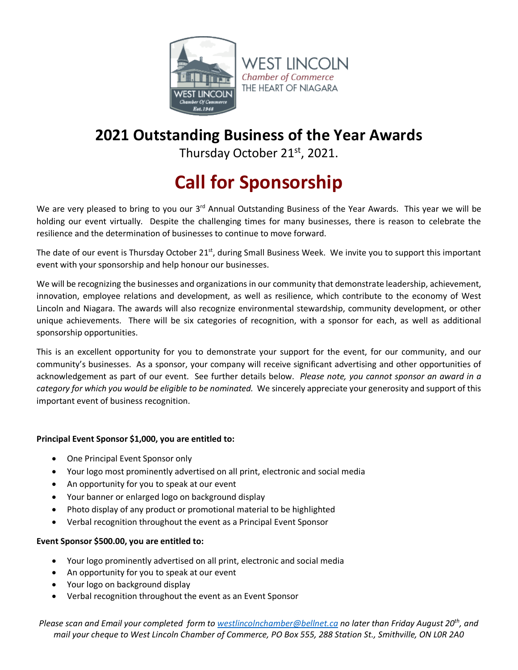

## **2021 Outstanding Business of the Year Awards**

Thursday October 21<sup>st</sup>, 2021.

## **Call for Sponsorship**

We are very pleased to bring to you our 3<sup>rd</sup> Annual Outstanding Business of the Year Awards. This year we will be holding our event virtually. Despite the challenging times for many businesses, there is reason to celebrate the resilience and the determination of businesses to continue to move forward.

The date of our event is Thursday October  $21^{st}$ , during Small Business Week. We invite you to support this important event with your sponsorship and help honour our businesses.

We will be recognizing the businesses and organizations in our community that demonstrate leadership, achievement, innovation, employee relations and development, as well as resilience, which contribute to the economy of West Lincoln and Niagara. The awards will also recognize environmental stewardship, community development, or other unique achievements. There will be six categories of recognition, with a sponsor for each, as well as additional sponsorship opportunities.

This is an excellent opportunity for you to demonstrate your support for the event, for our community, and our community's businesses. As a sponsor, your company will receive significant advertising and other opportunities of acknowledgement as part of our event. See further details below. *Please note, you cannot sponsor an award in a category for which you would be eligible to be nominated.* We sincerely appreciate your generosity and support of this important event of business recognition.

## **Principal Event Sponsor \$1,000, you are entitled to:**

- One Principal Event Sponsor only
- Your logo most prominently advertised on all print, electronic and social media
- An opportunity for you to speak at our event
- Your banner or enlarged logo on background display
- Photo display of any product or promotional material to be highlighted
- Verbal recognition throughout the event as a Principal Event Sponsor

## **Event Sponsor \$500.00, you are entitled to:**

- Your logo prominently advertised on all print, electronic and social media
- An opportunity for you to speak at our event
- Your logo on background display
- Verbal recognition throughout the event as an Event Sponsor

*Please scan and Email your completed form to westlincolnchamber@bellnet.ca no later than Friday August 20th, and mail your cheque to West Lincoln Chamber of Commerce, PO Box 555, 288 Station St., Smithville, ON L0R 2A0*